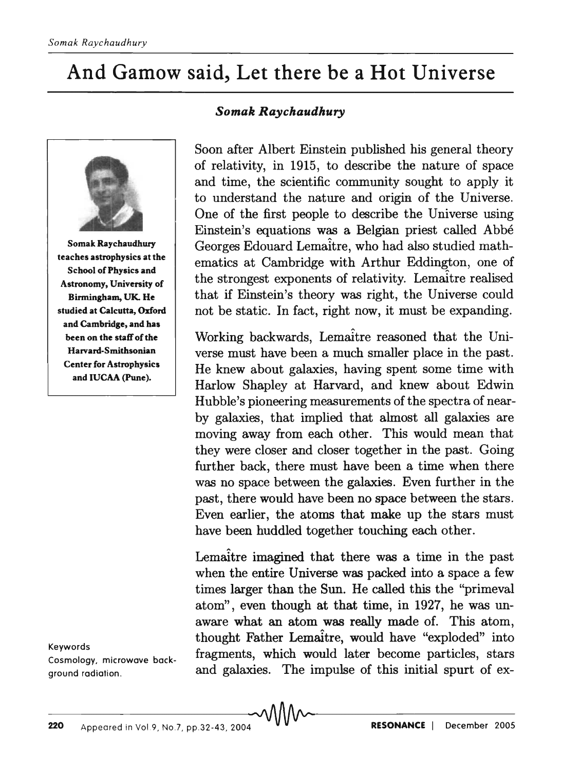# And Gamow said, Let there be a Hot Universe



Somak Raychaudhury teaches astrophysics at the School of Physics and Astronomy, University of Birmingham, UK. He studied at Calcutta, Oxford and Cambridge, and has been on the staff of the Harvard-Smithsonian Center for Astrophysics and IUCAA (Pune).

Keywords Cosmology, microwave background radiation.

Soon after Albert Einstein published his general theory of relativity, in 1915, to describe the nature of space and time, the scientific community sought to apply it to understand the nature and origin of the Universe. One of the first people to describe the Universe using Einstein's equations was a Belgian priest called Abbe Georges Edouard Lemaitre, who had also studied mathematics at Cambridge with Arthur Eddington, one of the strongest exponents of relativity. Lemaltre realised that if Einstein's theory was right, the Universe could not be static. In fact, right now, it must be expanding.

Working backwards, Lemaitre reasoned that the Universe must have been a much smaller place in the past. He knew about galaxies, having spent some time with Harlow Shapley at Harvard, and knew about Edwin Hubble's pioneering measurements of the spectra of nearby galaxies, that implied that almost all galaxies are moving away from each other. This would mean that they were closer and closer together in the past. Going further back, there must have been a time when there was no space between the galaxies. Even further in the past, there would have been no space between the stars. Even earlier, the atoms that make up the stars must have been huddled together touching each other.

Lemaitre imagined that there was a time in the past when the entire Universe was packed into a space a few times larger than the Sun. He called this the "primeval atom", even though at that time, in 1927, he was unaware what an atom was really made of. This atom, thought Father Lemaitre, would have "exploded" into fragments, which would later become particles, stars and galaxies. The impulse of this initial spurt of ex-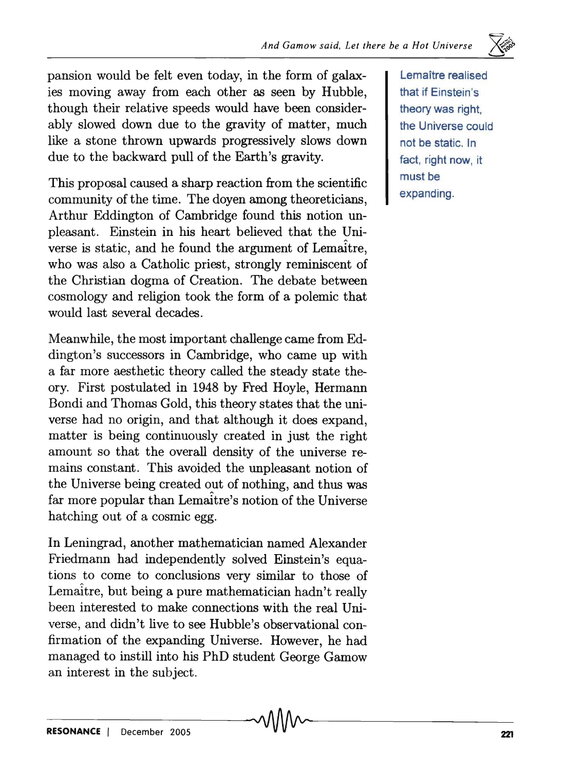

pansion would be felt even today, in the form of galaxies moving away from each other as seen by Hubble, though their relative speeds would have been considerably slowed down due to the gravity of matter, much like a stone thrown upwards progressively slows down due to the backward pull of the Earth's gravity.

This proposal caused a sharp reaction from the scientific community of the time. The doyen among theoreticians, Arthur Eddington of Cambridge found this notion unpleasant. Einstein in his heart believed that the Universe is static, and he found the argument of Lemaitre, who was also a Catholic priest, strongly reminiscent of the Christian dogma of Creation. The debate between cosmology and religion took the form of a polemic that would last several decades.

Meanwhile, the most important challenge came from Eddington's successors in Cambridge, who came up with a far more aesthetic theory called the steady state theory. First postulated in 1948 by Fred Hoyle, Hermann Bondi and Thomas Gold, this theory states that the universe had no origin, and that although it does expand, matter is being continuously created in just the right amount so that the overall density of the universe remains constant. This avoided the unpleasant notion of the Universe being created out of nothing, and thus was far more popular than Lemaitre's notion of the Universe hatching out of a cosmic egg.

In Leningrad, another mathematician named Alexander Friedmann had independently solved Einstein's equations to come to conclusions very similar to those of Lemaitre, but being a pure mathematician hadn't really been interested to make connections with the real Universe, and didn't live to see Hubble's observational confirmation of the expanding Universe. However, he had managed to instill into his PhD student George Gamow an interest in the subject.

Lemaitre realised that if Einstein's theory was right, the Universe could not be static. In fact, right now, it must be expanding.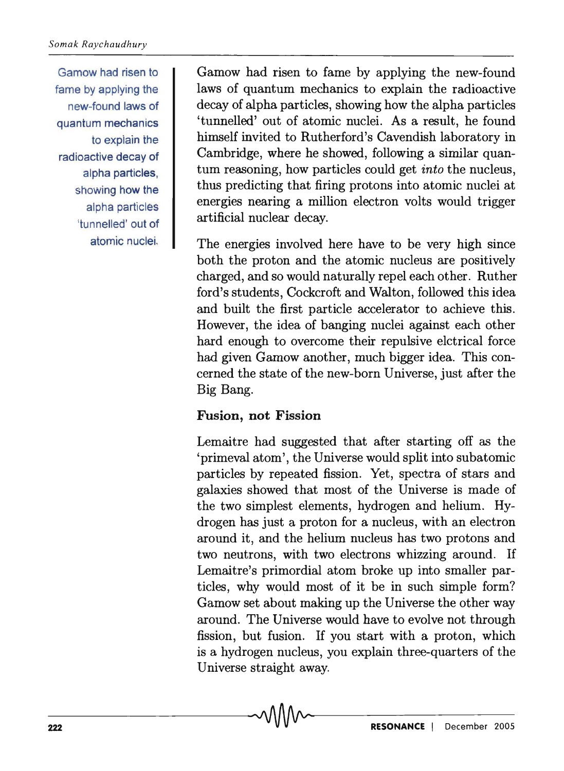Gamow had risen to fame by applying the new-found laws of quantum mechanics to explain the radioactive decay of alpha particles, showing how the alpha particles 'tunnelled' out of atomic nuclei.

Gamow had risen to fame by applying the new-found laws of quantum mechanics to explain the radioactive decay of alpha particles, showing how the alpha particles 'tunnelled' out of atomic nuclei. As a result, he found himself invited to Rutherford's Cavendish laboratory in Cambridge, where he showed, following a similar quantum reasoning, how particles could get *into* the nucleus, thus predicting that firing protons into atomic nuclei at energies nearing a million electron volts would trigger artificial nuclear decay.

The energies involved here have to be very high since both the proton and the atomic nucleus are positively charged, and so would naturally repel each other. Ruther ford's students, Cockcroft and Walton, followed this idea and built the first particle accelerator to achieve this. However, the idea of banging nuclei against each other hard enough to overcome their repulsive elctrical force had given Gamow another, much bigger idea. This concerned the state of the new-born Universe, just after the Big Bang.

## **Fusion, not Fission**

Lemaitre had suggested that after starting off as the 'primeval atom', the Universe would split into subatomic particles by repeated fission. Yet, spectra of stars and galaxies showed that most of the Universe is made of the two simplest elements, hydrogen and helium. Hydrogen has just a proton for a nucleus, with an electron around it, and the helium nucleus has two protons and two neutrons, with two electrons whizzing around. If Lemaitre's primordial atom broke up into smaller particles, why would most of it be in such simple form? Gamow set about making up the Universe the other way around. The Universe would have to evolve not through fission, but fusion. If you start with a proton, which is a hydrogen nucleus, you explain three-quarters of the Universe straight away.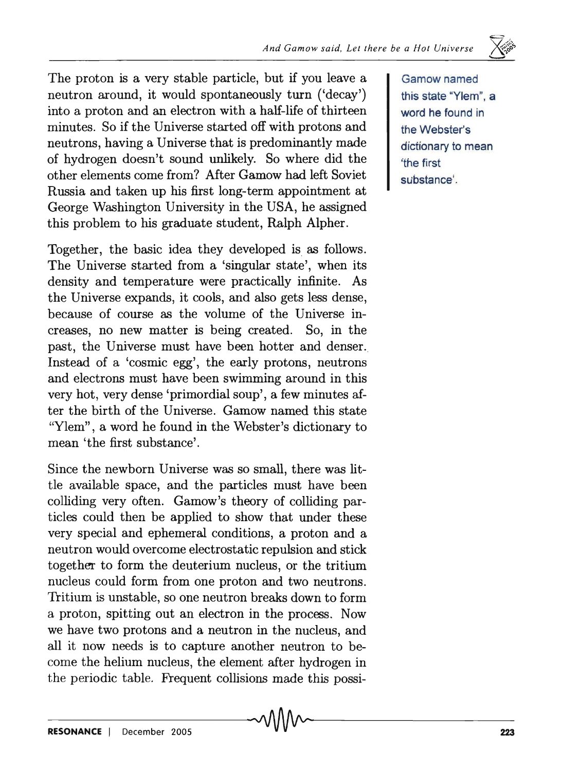

The proton is a very stable particle, but if you leave a neutron around, it would spontaneously turn ('decay') into a proton and an electron with a half-life of thirteen minutes. So if the Universe started off with protons and neutrons, having a Universe that is predominantly made of hydrogen doesn't sound unlikely. So where did the other elements come from? After Gamow had. left Soviet Russia and taken up his first long-term appointment at George Washington University in the USA, he assigned this problem to his graduate student, Ralph Alpher.

Together, the basic idea they developed is as follows. The Universe started from a 'singular state', when its density and temperature were practically infinite. As the Universe expands, it cools, and also gets less dense, because of course as the volume of the Universe increases, no new matter is being created. So, in the past, the Universe must have been hotter and denser. Instead of a 'cosmic egg', the early protons, neutrons and electrons must have been swimming around in this very hot, very dense 'primordial soup', a few minutes after the birth of the Universe. Gamow named this state "Ylem", a word he found in the Webster's dictionary to mean 'the first substance'.

Since the newborn Universe was so small, there was little available space, and the particles must have been colliding very often. Gamow's theory of colliding particles could then be applied to show that under these very special and ephemeral conditions, a proton and a neutron would overcome electrostatic repulsion and stick together to form the deuterium nucleus, or the tritium nucleus could form from one proton and two neutrons. Tritium is unstable, so one neutron breaks down to form a proton, spitting out an electron in the process. Now we have two protons and a neutron in the nucleus, and all it now needs is to capture another neutron to become the helium nucleus, the element after hydrogen in the periodic table. Frequent collisions made this possi-

**Gamow named** this state "Ylem", a word he found in the Webster's dictionary to mean 'the first substance'.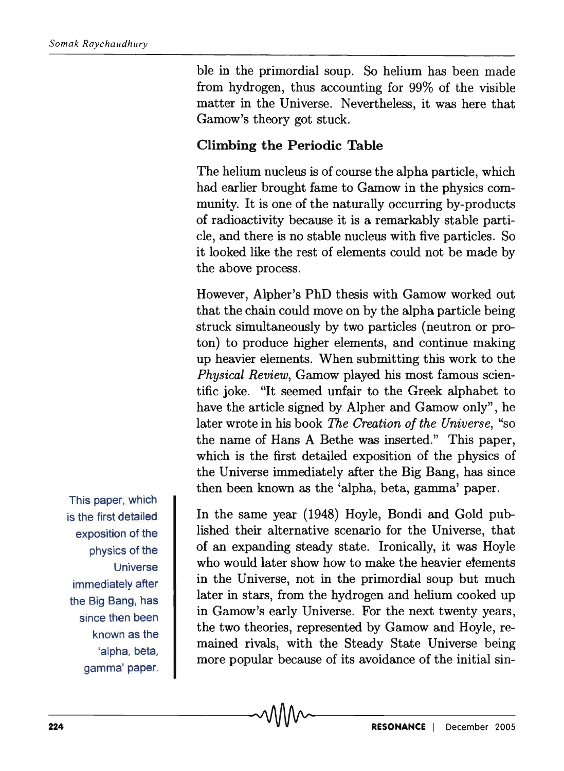ble in the primordial soup. So helium has been made from hydrogen, thus accounting for 99% of the visible matter in the Universe. Nevertheless, it was here that Gamow's theory got stuck.

### **Climbing the Periodic Table**

The helium nucleus is of course the alpha particle, which had earlier brought fame to Gamow in the physics community. It is one of the naturally occurring by-products of radioactivity because it is a remarkably stable particle, and there is no stable nucleus with five particles. So it looked like the rest of elements could not be made by the above process.

However, Alpher's PhD thesis with Gamow worked out that the chain could move on by the alpha particle being struck simultaneously by two particles (neutron or proton) to produce higher elements, and continue making up heavier elements. When submitting this work to the *Physical Review,* Gamow played his most famous scientific joke. "It seemed unfair to the Greek alphabet to have the article signed by Alpher and Gamow only", he later wrote in his book *The Creation of the Universe,* "so the name of Hans A Bethe was inserted." This paper, which is the first detailed exposition of the physics of the Universe immediately after the Big Bang, has since then been known as the 'alpha, beta, gamma' paper.

In the same year (1948) Hoyle, Bondi and Gold published their alternative scenario for the Universe, that of an expanding steady state. Ironically, it was Hoyle who would later show how to make the heavier etements in the Universe, not in the primordial soup but much later in stars, from the hydrogen and helium cooked up in Gamow's early Universe. For the next twenty years, the two theories, represented by Gamow and Hoyle, remained rivals, with the Steady State Universe being more popular because of its avoidance of the initial sin-

This paper, which is the first detailed exposition of the physics of the Universe immediately after the Big Bang, has since then been known as the 'alpha, beta, gamma' paper.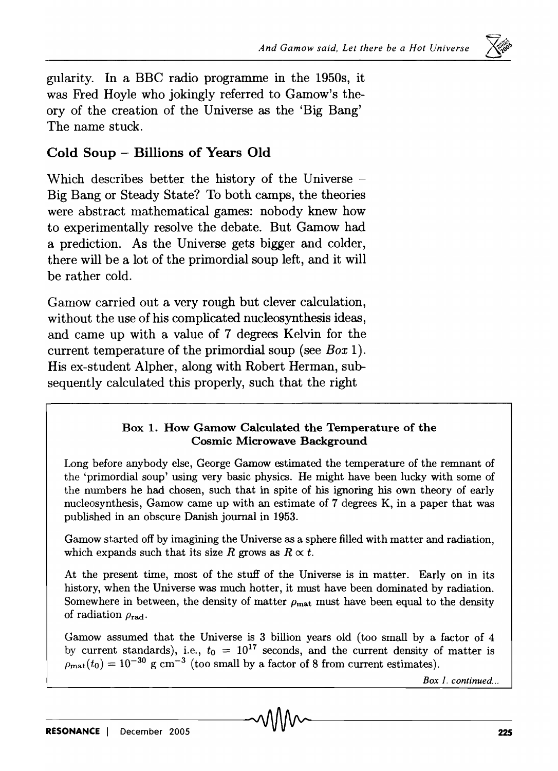

gularity. In a BBC radio programme in the 1950s, it was Fred Hoyle who jokingly referred to Gamow's theory of the creation of the Universe as the 'Big Bang' The name stuck.

# Cold Soup - Billions of Years Old

Which describes better the history of the Universe -Big Bang or Steady State? To both camps, the theories were abstract mathematical games: nobody knew how to experimentally resolve the debate. But Gamow had a prediction. As the Universe gets bigger and colder, there will be a lot of the primordial soup left, and it will be rather cold.

Gamow carried out a very rough but clever calculation, without the use of his complicated nucleosynthesis ideas, and came up with a value of 7 degrees Kelvin for the current temperature of the primordial soup (see *Box* 1). His ex-student Alpher, along with Robert Herman, subsequently calculated this properly, such that the right

#### Box 1. How Gamow Calculated the Temperature of the Cosmic Microwave Background

Long before anybody else, George Gamow estimated the temperature of the remnant of the 'primordial soup' using very basic physics. He might have been lucky with some of the numbers he had chosen, such that in spite of his ignoring his own theory of early nucleosynthesis, Gamow came up with an estimate of 7 degrees K, in a paper that was published in an obscure Danish journal in 1953.

Gamow started off by imagining the Universe as a sphere filled with matter and radiation, which expands such that its size *R* grows as  $R \propto t$ .

At the present time, most of the stuff of the Universe is in matter. Early on in its history, when the Universe was much hotter, it must have been dominated by radiation. Somewhere in between, the density of matter  $\rho_{\text{mat}}$  must have been equal to the density of radiation  $\rho_{rad}$ .

Gamow assumed that the Universe is 3 billion years old (too small by a factor of 4 by current standards), i.e.,  $t_0 = 10^{17}$  seconds, and the current density of matter is  $\rho_{\text{mat}}(t_0) = 10^{-30}$  g cm<sup>-3</sup> (too small by a factor of 8 from current estimates).

*Box* 1. *continued ...*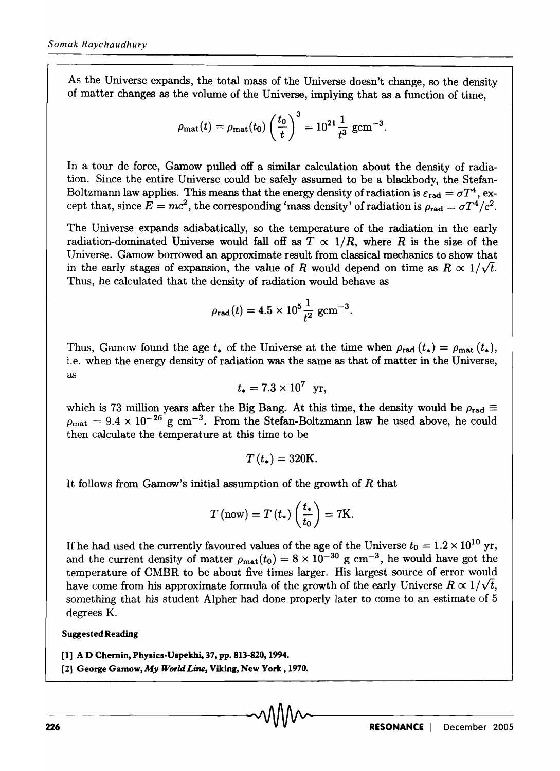As the Universe expands, the total mass of the Universe doesn't change, so the density of matter changes as the volume of the Universe, implying that as a function of time,

$$
\rho_{\text{mat}}(t) = \rho_{\text{mat}}(t_0) \left(\frac{t_0}{t}\right)^3 = 10^{21} \frac{1}{t^3} \text{ gcm}^{-3}.
$$

In a tour de force, Gamow pulled off a similar calculation about the density of radiation. Since the entire Universe could be safely assumed to be a blackbody, the Stefan-Boltzmann law applies. This means that the energy density of radiation is  $\varepsilon_{rad} = \sigma T^4$ , except that, since  $E = mc^2$ , the corresponding 'mass density' of radiation is  $\rho_{rad} = \sigma T^4/c^2$ .

The Universe expands adiabatically, so the temperature of the radiation in the early radiation-dominated Universe would fall off as  $T \propto 1/R$ , where *R* is the size of the Universe. Gamow borrowed an approximate result from classical mechanics to show that in the early stages of expansion, the value of *R* would depend on time as  $R \propto 1/\sqrt{t}$ . Thus, he calculated that the density of radiation would behave as

$$
\rho_{\rm rad}(t) = 4.5 \times 10^5 \frac{1}{t^2} \, \, {\rm g cm}^{-3}.
$$

Thus, Gamow found the age  $t_*$  of the Universe at the time when  $\rho_{rad}(t_*) = \rho_{mat}(t_*)$ , i.e. when the energy density of radiation was the same as that of matter in the Universe, as

$$
t_* = 7.3 \times 10^7
$$
 yr,

which is 73 million years after the Big Bang. At this time, the density would be  $\rho_{rad} \equiv$  $\rho_{\text{mat}} = 9.4 \times 10^{-26} \text{ g cm}^{-3}$ . From the Stefan-Boltzmann law he used above, he could then calculate the temperature at this time to be

$$
T(t_{*})=320 \mathrm{K}.
$$

It follows from Gamow's initial assumption of the growth of R that

$$
T\left(\text{now}\right) = T\left(t_{*}\right)\left(\frac{t_{*}}{t_{0}}\right) = 7\text{K}.
$$

If he had used the currently favoured values of the age of the Universe  $t_0 = 1.2 \times 10^{10}$  yr, and the current density of matter  $\rho_{\text{mat}}(t_0) = 8 \times 10^{-30} \text{ g cm}^{-3}$ , he would have got the temperature of CMBR to be about five times larger. His largest source of error would have come from his approximate formula of the growth of the early Universe  $R \propto 1/\sqrt{t}$ , something that his student Alpher had done properly later to come to an estimate of 5 degrees K.

#### Suggested Reading

- [1] A D Chemin, Physics-Uspekhi, 37, pp. 813-820, 1994.
- [2] George Gamow, My World Line, Viking, New York, 1970.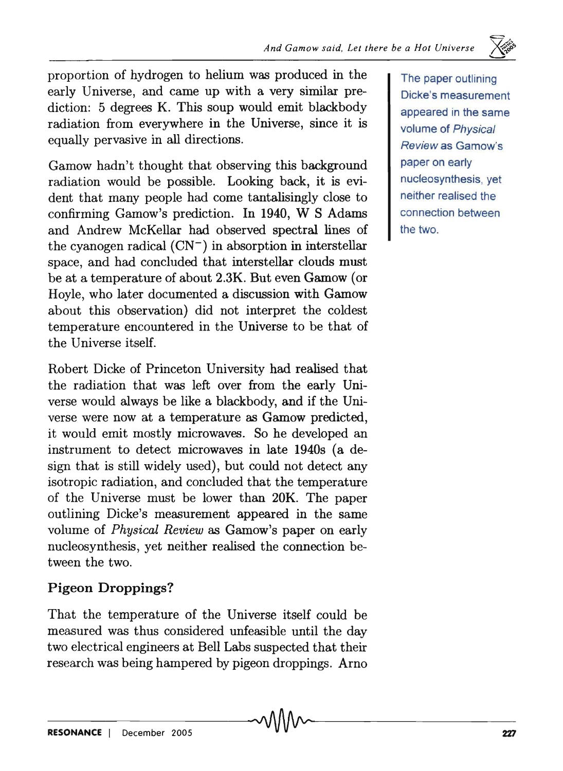

proportion of hydrogen to helium was produced in the early Universe, and came up with a very similar prediction: 5 degrees K. This soup would emit blackbody radiation from everywhere in the Universe, since it is equally pervasive in all directions.

Gamow hadn't thought that observing this background radiation would be possible. Looking back, it is evident that many people had come tantalisingly close to confirming Gamow's prediction. In 1940, W 8 Adams and Andrew McKellar had observed spectral lines of the cyanogen radical  $(CN^-)$  in absorption in interstellar space, and had concluded that interstellar clouds must be at a temperature of about 2.3K. But even Gamow (or Hoyle, who later documented a discussion with Gamow about this observation) did not interpret the coldest temperature encountered in the Universe to be that of the Universe itself.

Robert Dicke of Princeton University had realised that the radiation that was left over from the early Universe would always be like a blackbody, and if the Universe were now at a temperature as Gamow predicted, it would emit mostly microwaves. 80 he developed an instrument to detect microwaves in late 1940s (a design that is still widely used), but could not detect any isotropic radiation, and concluded that the temperature of the Universe must be lower than 20K. The paper outlining Dicke's measurement appeared in the same volume of *Physical Review* as Gamow's paper on early nucleosynthesis, yet neither realised the connection between the two.

# Pigeon Droppings?

That the temperature of the Universe itself could be measured was thus considered unfeasible until the day two electrical engineers at Bell Labs suspected that their research was being hampered by pigeon droppings. Arno The paper outlining Dicke's measurement appeared in the same volume of PhYSical Review as Gamow's paper on early nucleosynthesis, yet neither realised the connection between the two.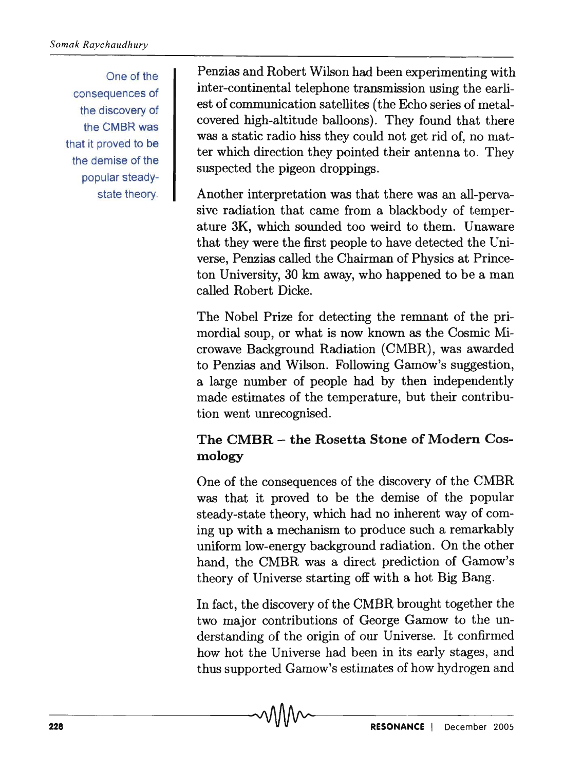One of the consequences of the discovery of the CMBR was that it proved to be the demise of the popular steadystate theory.

Penzias and Robert Wilson had been experimenting with inter-continental telephone transmission using the earliest of communication satellites (the Echo series of metalcovered high-altitude balloons). They found that there was a static radio hiss they could not get rid of, no matter which direction they pointed their antenna to. They suspected the pigeon droppings.

Another interpretation was that there was an all-pervasive radiation that came from a blackbody of temperature 3K, which sounded too weird to them. Unaware that they were the first people to have detected the Universe, Penzias called the Chairman of Physics at Princeton University, 30 km away, who happened to be a man called Robert Dicke.

The Nobel Prize for detecting the remnant of the primordial soup, or what is now known as the Cosmic Microwave Background Radiation (CMBR), was awarded to Penzias and Wilson. Following Gamow's suggestion, a large number of people had by then independently made estimates of the temperature, but their contribution went unrecognised.

# The CMBR - the Rosetta Stone of Modern Cosmology

One of the consequences of the discovery of the CMBR was that it proved to be the demise of the popular steady-state theory, which had no inherent way of coming up with a mechanism to produce such a remarkably uniform low-energy background radiation. On the other hand, the CMBR was a direct prediction of Gamow's theory of Universe starting off with a hot Big Bang.

In fact, the discovery of the CMBR brought together the two major contributions of George Gamow to the understanding of the origin of our Universe. It confirmed how hot the Universe had been in its early stages, and thus supported Gamow's estimates of how hydrogen and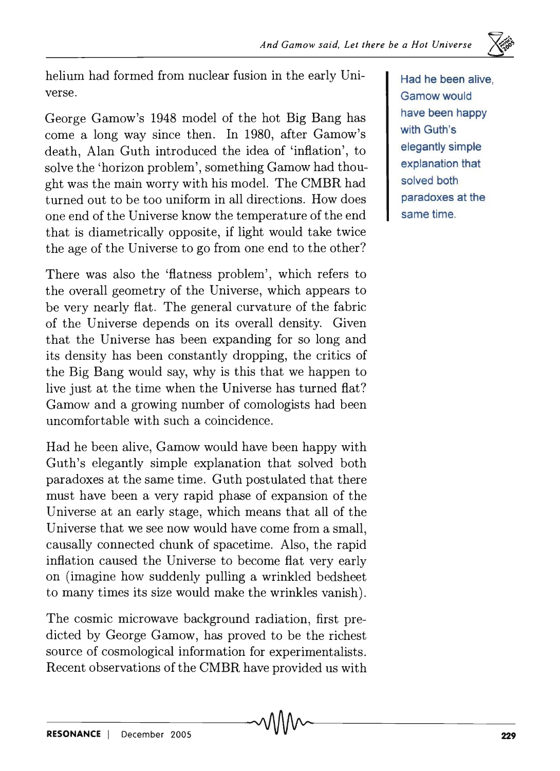

helium had formed from nuclear fusion in the early Universe.

George Gamow's 1948 model of the hot Big Bang has come a long way since then. In 1980, after Gamow's death, Alan Guth introduced the idea of 'inflation', to solve the 'horizon problem', something Gamow had thought was the main worry with his model. The CMBR had turned out to be too uniform in all directions. How does one end of the Universe know the temperature of the end that is diametrically opposite, if light would take twice the age of the Universe to go from one end to the other?

There was also the 'flatness problem', which refers to the overall geometry of the Universe, which appears to be very nearly flat. The general curvature of the fabric of the Universe depends on its overall density. Given that the Universe has been expanding for so long and its density has been constantly dropping, the critics of the Big Bang would say, why is this that we happen to live just at the time when the Universe has turned flat? Gamow and a growing number of comologists had been uncomfortable with such a coincidence.

Had he been alive, Gamow would have been happy with Guth's elegantly simple explanation that solved both paradoxes at the same time. Guth postulated that there must have been a very rapid phase of expansion of the Universe at an early stage, which means that all of the Universe that we see now would have come from a small, causally connected chunk of spacetime. Also, the rapid inflation caused the Universe to become flat very early on (imagine how suddenly pulling a wrinkled bedsheet to many times its size would make the wrinkles vanish).

The cosmic microwave background radiation, first predicted by George Gamow, has proved to be the richest source of cosmological information for experimentalists. Recent observations of the CMBR have provided us with Had he been alive. **Gamow** would have been happy with Guth's elegantly simple explanation that solved both paradoxes at the same time.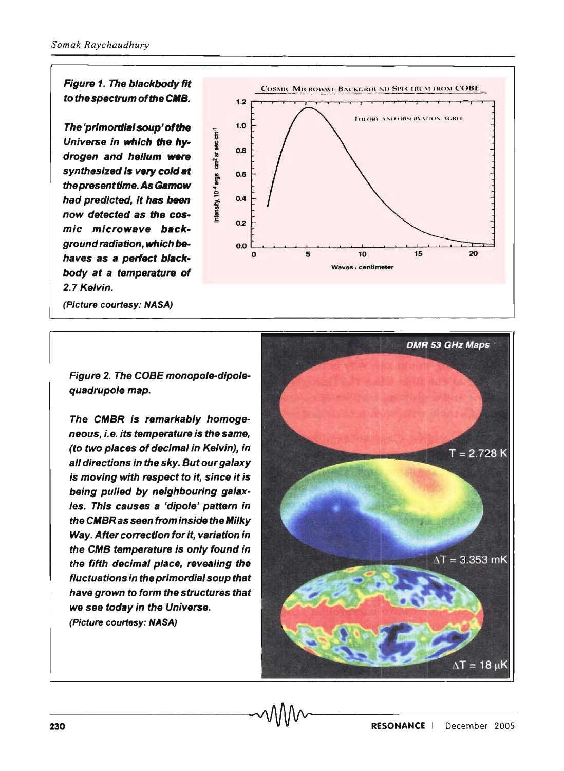#### Figure 1. The blackbody fit to the spectrum of the CMB.  $12$

The 'primordial soup' of the Universe in which the hydrogen and helium were  $\frac{8}{3}$  0.8 synthesized is very cold at the present time. As Gamow had predicted, it has been  $\frac{1}{6}$  0.4 now detected as the cos- $\frac{20}{\pi}$  mic microwave background radiation, which be- $_{0.0}$ haves as a perfect blackbody at a temperature of *2.7* Kelvin.



(Picture courtesy: NASA)

#### Figure 2. The COBE monopole-dipolequadrupole map.

The CMBR is remarkably homogeneous, i.e. its temperature is the same, (to two places of decimal in Kelvin), in all directions in the sky. But our galaxy is moving with respect to it, since it is being pulled by neighbouring galaxies. This causes a 'dipole' pattern in the CMBR as seen from inside the Milky Way. After correction for it, variation in the CMS temperature is only found in the fifth decimal place, revealing the fluctuations in the primordial soup that have grown to form the structures that we see today in the Universe. (Picture courtesy: NASA)